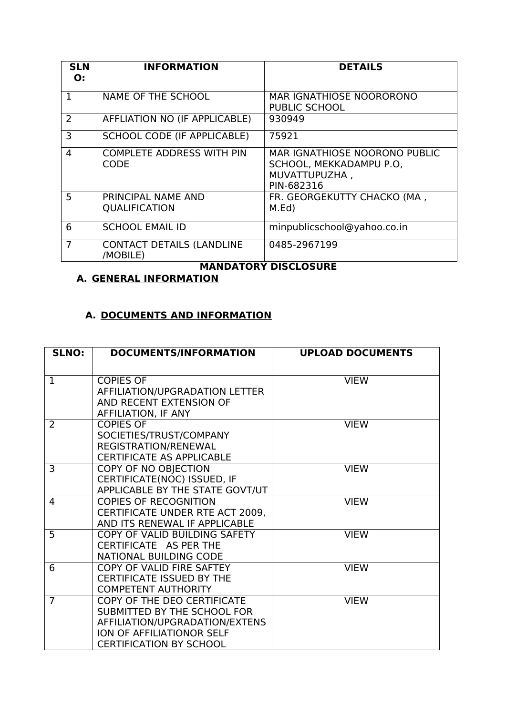| <b>SLN</b><br>O: | <b>INFORMATION</b>                           | <b>DETAILS</b>                                                                          |
|------------------|----------------------------------------------|-----------------------------------------------------------------------------------------|
| 1                | NAME OF THE SCHOOL                           | <b>MAR IGNATHIOSE NOORORONO</b><br>PUBLIC SCHOOL                                        |
| $\overline{2}$   | AFFLIATION NO (IF APPLICABLE)                | 930949                                                                                  |
| 3                | <b>SCHOOL CODE (IF APPLICABLE)</b>           | 75921                                                                                   |
| $\overline{4}$   | <b>COMPLETE ADDRESS WITH PIN</b><br>CODE     | MAR IGNATHIOSE NOORONO PUBLIC<br>SCHOOL, MEKKADAMPU P.O.<br>MUVATTUPUZHA,<br>PIN-682316 |
| 5                | PRINCIPAL NAME AND<br><b>QUALIFICATION</b>   | FR. GEORGEKUTTY CHACKO (MA,<br>M.Ed)                                                    |
| 6                | <b>SCHOOL EMAIL ID</b>                       | minpublicschool@yahoo.co.in                                                             |
| 7                | <b>CONTACT DETAILS (LANDLINE</b><br>/MOBILE) | 0485-2967199                                                                            |

# **MANDATORY DISCLOSURE**

# **A. GENERAL INFORMATION**

## **A. DOCUMENTS AND INFORMATION**

| <b>SLNO:</b>   | <b>DOCUMENTS/INFORMATION</b>                                                                                                                                | <b>UPLOAD DOCUMENTS</b> |  |
|----------------|-------------------------------------------------------------------------------------------------------------------------------------------------------------|-------------------------|--|
| $\mathbf{1}$   | <b>COPIES OF</b><br>AFFILIATION/UPGRADATION LETTER                                                                                                          | <b>VIEW</b>             |  |
|                | AND RECENT EXTENSION OF<br>AFFILIATION, IF ANY                                                                                                              |                         |  |
| 2              | <b>COPIES OF</b><br>SOCIETIES/TRUST/COMPANY<br>REGISTRATION/RENEWAL<br><b>CERTIFICATE AS APPLICABLE</b>                                                     | <b>VIEW</b>             |  |
| 3              | <b>COPY OF NO OBJECTION</b><br>CERTIFICATE(NOC) ISSUED, IF<br>APPLICABLE BY THE STATE GOVT/UT                                                               | <b>VIEW</b>             |  |
| 4              | <b>COPIES OF RECOGNITION</b><br>CERTIFICATE UNDER RTE ACT 2009,<br>AND ITS RENEWAL IF APPLICABLE                                                            | <b>VIEW</b>             |  |
| 5              | COPY OF VALID BUILDING SAFETY<br>CERTIFICATE AS PER THE<br>NATIONAL BUILDING CODE                                                                           | <b>VIEW</b>             |  |
| 6              | COPY OF VALID FIRE SAFTEY<br><b>CERTIFICATE ISSUED BY THE</b><br><b>COMPETENT AUTHORITY</b>                                                                 | <b>VIEW</b>             |  |
| $\overline{7}$ | COPY OF THE DEO CERTIFICATE<br>SUBMITTED BY THE SCHOOL FOR<br>AFFILIATION/UPGRADATION/EXTENS<br>ION OF AFFILIATIONOR SELF<br><b>CERTIFICATION BY SCHOOL</b> | <b>VIEW</b>             |  |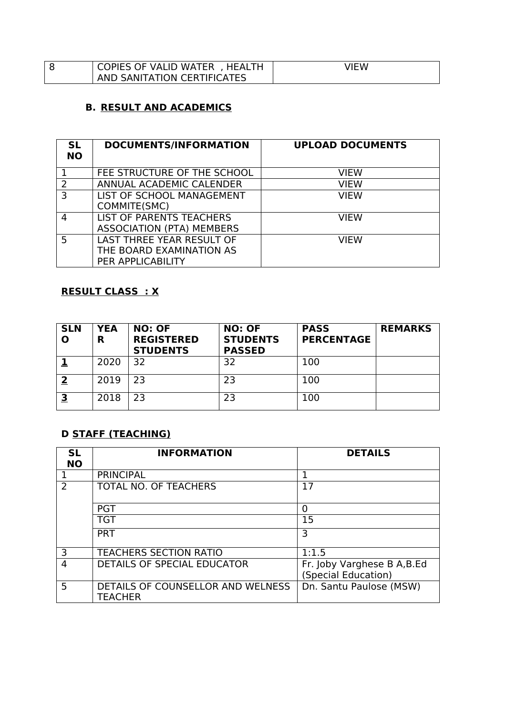| COPIES OF VALID WATER, HEALTH | ∕IEW |
|-------------------------------|------|
| AND SANITATION CERTIFICATES   |      |

#### **B. RESULT AND ACADEMICS**

| <b>SL</b><br><b>NO</b> | <b>DOCUMENTS/INFORMATION</b>                                                      | <b>UPLOAD DOCUMENTS</b> |
|------------------------|-----------------------------------------------------------------------------------|-------------------------|
|                        | FEE STRUCTURE OF THE SCHOOL                                                       | VIEW                    |
| $\overline{2}$         | ANNUAL ACADEMIC CALENDER                                                          | VIEW                    |
| 3                      | LIST OF SCHOOL MANAGEMENT<br>COMMITE(SMC)                                         | VIEW                    |
| 4                      | LIST OF PARENTS TEACHERS<br><b>ASSOCIATION (PTA) MEMBERS</b>                      | <b>VIFW</b>             |
| 5                      | <b>LAST THREE YEAR RESULT OF</b><br>THE BOARD EXAMINATION AS<br>PER APPLICABILITY | VIFW                    |

## **RESULT CLASS : X**

| <b>SLN</b> | <b>YEA</b><br>R | <b>NO: OF</b><br><b>REGISTERED</b><br><b>STUDENTS</b> | <b>NO: OF</b><br><b>STUDENTS</b><br><b>PASSED</b> | <b>PASS</b><br><b>PERCENTAGE</b> | <b>REMARKS</b> |
|------------|-----------------|-------------------------------------------------------|---------------------------------------------------|----------------------------------|----------------|
|            | 2020            | 32                                                    | 32                                                | 100                              |                |
| כי         | 2019            | 23                                                    | 23                                                | 100                              |                |
| 3          | 2018            | 23                                                    | 23                                                | 100                              |                |

# **D STAFF (TEACHING)**

| <b>SL</b><br><b>NO</b> | <b>INFORMATION</b>                                  | <b>DETAILS</b>                                     |
|------------------------|-----------------------------------------------------|----------------------------------------------------|
|                        | <b>PRINCIPAL</b>                                    | 1                                                  |
| っ                      | <b>TOTAL NO. OF TEACHERS</b>                        | 17                                                 |
|                        | <b>PGT</b>                                          | 0                                                  |
|                        | <b>TGT</b>                                          | 15                                                 |
|                        | <b>PRT</b>                                          | 3                                                  |
| 3                      | <b>TEACHERS SECTION RATIO</b>                       | 1:1.5                                              |
| 4                      | DETAILS OF SPECIAL EDUCATOR                         | Fr. Joby Varghese B A, B.Ed<br>(Special Education) |
| 5                      | DETAILS OF COUNSELLOR AND WELNESS<br><b>TEACHER</b> | Dn. Santu Paulose (MSW)                            |